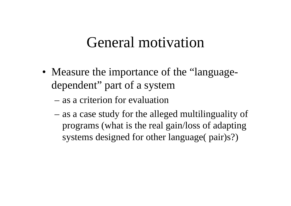### General motivation

- Measure the importance of the "languagedependent" part of a system
	- as a criterion for evaluation
	- as a case study for the alleged multilinguality of programs (what is the real gain/loss of adapting systems designed for other language( pair)s?)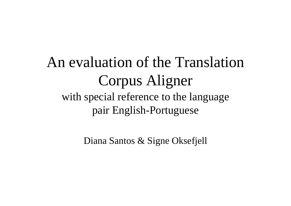### An evaluation of the Translation Corpus Aligner with special reference to the language pair English-Portuguese

Diana Santos & Signe Oksefjell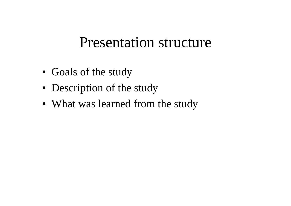### Presentation structure

- Goals of the study
- Description of the study
- What was learned from the study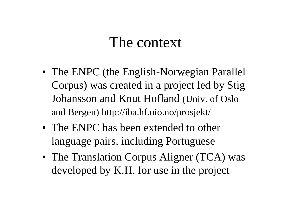### The context

- The ENPC (the English-Norwegian Parallel Corpus) was created in a project led by Stig Johansson and Knut Hofland (Univ. of Oslo and Bergen) http://iba.hf.uio.no/prosjekt/
- The ENPC has been extended to other language pairs, including Portuguese
- The Translation Corpus Aligner (TCA) was developed by K.H. for use in the project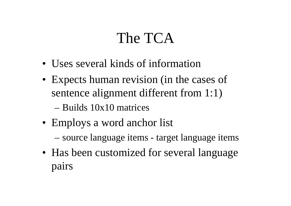# The TCA

- Uses several kinds of information
- Expects human revision (in the cases of sentence alignment different from 1:1) – Builds 10x10 matrices
- Employs a word anchor list
	- source language items target language items
- Has been customized for several language pairs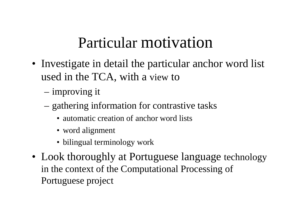# Particular motivation

- Investigate in detail the particular anchor word list used in the TCA, with a view to
	- improving it
	- gathering information for contrastive tasks
		- automatic creation of anchor word lists
		- word alignment
		- bilingual terminology work
- Look thoroughly at Portuguese language technology in the context of the Computational Processing of Portuguese project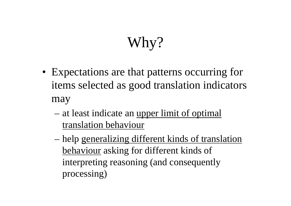# Why?

- Expectations are that patterns occurring for items selected as good translation indicators may
	- at least indicate an <u>upper limit of optimal</u> translation behaviour
	- help generalizing different kinds of translation behaviour asking for different kinds of interpreting reasoning (and consequently processing)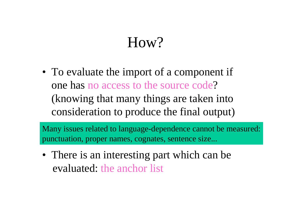# How?

• To evaluate the import of a component if one has no access to the source code? (knowing that many things are taken into consideration to produce the final output)

Many issues related to language-dependence cannot be measured: punctuation, proper names, cognates, sentence size...

• There is an interesting part which can be evaluated: the anchor list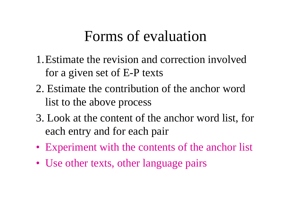### Forms of evaluation

- 1.Estimate the revision and correction involved for a given set of E-P texts
- 2. Estimate the contribution of the anchor word list to the above process
- 3. Look at the content of the anchor word list, for each entry and for each pair
- Experiment with the contents of the anchor list
- Use other texts, other language pairs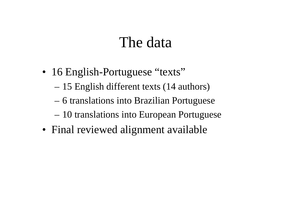### The data

- 16 English-Portuguese "texts"
	- 15 English different texts (14 authors)
	- 6 translations into Brazilian Portuguese
	- 10 translations into European Portuguese
- Final reviewed alignment available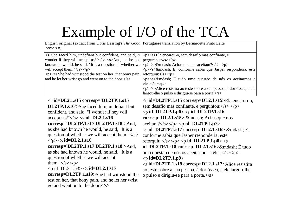# Example of I/O of the TCA

| English original (extract from Doris Lessing's The Good Portuguese translation by Bernardette Pinto Leite<br>Terrorist)                                                                                                                                                                                                                                                                                                                                                                                                                                                                                                                                                                                                                                                                          |                                                                                                                                                                                                                                                                                                                                                                                                                                                                                                                                                                                                                                                                                                                                                                                                                                                                                                                                                                      |
|--------------------------------------------------------------------------------------------------------------------------------------------------------------------------------------------------------------------------------------------------------------------------------------------------------------------------------------------------------------------------------------------------------------------------------------------------------------------------------------------------------------------------------------------------------------------------------------------------------------------------------------------------------------------------------------------------------------------------------------------------------------------------------------------------|----------------------------------------------------------------------------------------------------------------------------------------------------------------------------------------------------------------------------------------------------------------------------------------------------------------------------------------------------------------------------------------------------------------------------------------------------------------------------------------------------------------------------------------------------------------------------------------------------------------------------------------------------------------------------------------------------------------------------------------------------------------------------------------------------------------------------------------------------------------------------------------------------------------------------------------------------------------------|
| <s>She faced him, undefiant but confident, and said, "I<br/>wonder if they will accept us?"</s> <s>And, as she had<br/>known he would, he said, "It is a question of whether we<br/>will accept them."<math>\langle</math>s&gt;<math>\langle</math>p&gt;<br/><p><s>She had withstood the test on her, that bony pain,<br/>and he let her wrist go and went on to the door.<math>\langle</math>s&gt;</s></p></s>                                                                                                                                                                                                                                                                                                                                                                                  | <p><s>Ela encarou-o, sem desafio mas confiante, e<br/><math>perguntou:&lt;\langle s\rangle\langle p\rangle</math><br/><p><s>— Achas que nos aceitam?</s> </p><br/><p><s>— E, conforme sabia que Jasper responderia, este<br/>retorquiu:<math>\langle</math>s&gt;<math>\langle</math>p&gt;<br/><math>&lt;</math>p<math>&gt;&lt;</math>s<math>&gt;</math>— É tudo uma questão de nós os aceitarmos a<br/>eles.<math>\langle</math>/s<math>&gt;\rangle</math><br/><p><s>Alice resistira ao teste sobre a sua pessoa, à dor óssea, e ele<br/>largou-lhe o pulso e dirigiu-se para a porta.<math>\langle</math>s&gt;</s></p></s></p></s></p>                                                                                                                                                                                                                                                                                                                              |
| $\langle$ s id=DL2.1.s15 corresp='DL2TP.1.s15<br><b>DL2TP.1.s16'&gt;She faced him, undefiant but</b><br>confident, and said, "I wonder if hey will<br>accept us?" $\langle$ /s $>$ $\langle$ s <b>id=DL2.1.s16</b><br>$corresp='DL2TP.1.s17 DL2TP.1.s18' > And,$<br>as she had known he would, he said, "It is a<br>question of whether we will accept them." $\langle$ s><br>$<$ /p> $<$ s id=DL2.1.s16<br>$corresp='DL2TP.1.s17 DL2TP.1.s18' > And,$<br>as she had known he would, he said, "It is a<br>question of whether we will accept<br>them." $\langle$ s> $\langle$ p><br>$\langle p \rangle$ id=DL2.1.p3> $\langle s \rangle$ id=DL2.1.s17<br>corresp=DL2TP.1.s19>She had withstood the<br>test on her, that bony pain, and he let her wrist<br>go and went on to the door. $\lt$ /s> | $\langle \sin \theta  $ id=DL2TP.1.s15 corresp=DL2.1.s15>Ela encarou-o.<br>sem desafio mas confiante, e perguntou: $\langle$ /s> $\langle$ /p><br>$\langle p \rangle$ id=DL2TP.1.p6> $\langle s \rangle$ id=DL2TP.1.s16<br>$corresp = DL2.1 \text{ s15} > \& \text{mdash}$ ; Achas que nos<br>$\alpha$ ceitam? <p id="DL2TP.1.p7"><br/><math>\langle</math>s id=DL2TP.1.s17 corresp=DL2.1.s16&gt; — E,<br/>conforme sabia que Jasper responderia, este<br/>retorquiu:<math>\langle</math>/s&gt;<math>\langle</math>/p&gt;<math>\langle</math>p <b>id=DL2TP.1.p8</b>&gt;<math>\langle</math>s<br/><math>id = DL2TP.1.s18</math> corresp=<math>DL2.1.s16</math> &gt; <math>&amp;</math> mdash; <math>É</math> tudo<br/>uma questão de nós os aceitarmos a eles.  &gt; </p><br>$< p$ id=DL2TP.1.p9><br>$\langle$ s id=DL2TP.1.s19 corresp=DL2.1.s17>Alice resistira<br>ao teste sobre a sua pessoa, à dor óssea, e ele largou-lhe<br>o pulso e dirigiu-se para a porta. |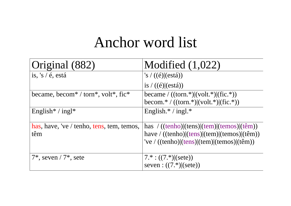### Anchor word list

| Original (882)                                                                        | Modified $(1,022)$                                                                                                                                                                                                               |
|---------------------------------------------------------------------------------------|----------------------------------------------------------------------------------------------------------------------------------------------------------------------------------------------------------------------------------|
| is, 's $/6$ , está                                                                    | 's $/ ((\acute{e})$ $(\text{está}))$                                                                                                                                                                                             |
|                                                                                       | is $/ ((\acute{e})$ (está))                                                                                                                                                                                                      |
| became, becom <sup>*</sup> / torn <sup>*</sup> , volt <sup>*</sup> , fic <sup>*</sup> | became / $((\text{ torn.}*) (\text{volt.}*) (\text{fic.}*))$<br>becom.*/ $((\text{ torn.*)} (\text{volt.*)} (\text{fic.*)})$                                                                                                     |
| English <sup>*</sup> / ingl <sup>*</sup>                                              | English. $* /$ ingl. $*$                                                                                                                                                                                                         |
| has, have, 've / tenho, tens, tem, temos,<br>têm                                      | has $/((\text{tenho}) (\text{tens}) (\text{tem}) (\text{temos}) (\text{tem}))$<br>have / ((tenho) (tens) (tem) (temos) (têm))<br>'ve / $((\text{tenho}) (\text{tens}) (\text{tem}) (\text{temos}) (\hat{\tau}(\hat{\epsilon})))$ |
| $7^*$ , seven / $7^*$ , sete                                                          | $7.*$ : $((7.*)(sete))$<br>seven : $((7.*)$ (sete))                                                                                                                                                                              |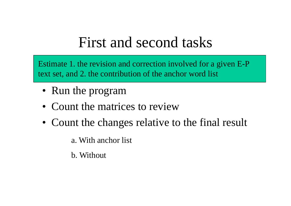# First and second tasks

Estimate 1. the revision and correction involved for a given E-P text set, and 2. the contribution of the anchor word list

- Run the program
- Count the matrices to review
- Count the changes relative to the final result

a. With anchor list

b. Without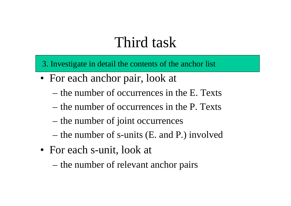### Third task

3. Investigate in detail the contents of the anchor list

- For each anchor pair, look at
	- the number of occurrences in the E. Texts
	- the number of occurrences in the P. Texts
	- the number of joint occurrences
	- the number of s-units (E. and P.) involved
- For each s-unit, look at
	- the number of relevant anchor pairs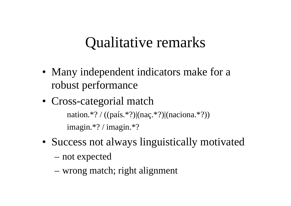### Qualitative remarks

- Many independent indicators make for a robust performance
- Cross-categorial match nation.\*? / ((país.\*?)|(naç.\*?)|(naciona.\*?)) imagin.\*? / imagin.\*?
- Success not always linguistically motivated
	- not expected
	- wrong match; right alignment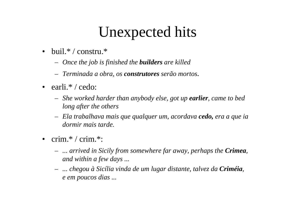# Unexpected hits

- buil.\* / constru.\*
	- *Once the job is finished the builders are killed*
	- *Terminada a obra, os construtores serão mortos.*
- $\bullet$  earli.\* / cedo:
	- *She worked harder than anybody else, got up earlier, came to bed long after the others*
	- *Ela trabalhava mais que qualquer um, acordava cedo, era a que ia dormir mais tarde.*
- • crim.\* / crim.\*:
	- *... arrived in Sicily from somewhere far away, perhaps the Crimea, and within a few days ...*
	- *... chegou à Sicília vinda de um lugar distante, talvez da Criméia, e em poucos dias ...*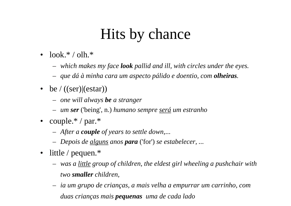# Hits by chance

- $\bullet$  $look.*/$  olh. $*$ 
	- *which makes my face look pallid and ill, with circles under the eyes.*
	- *que dá à minha cara um aspecto pálido e doentio, com olheiras.*
- be  $/$  ((ser) (estar))
	- *one will always be a stranger*
	- *um ser* ('being', n.) *humano sempre será um estranho*
- couple.\* / par.\*
	- *After a couple of years to settle down,*...
	- *Depois de alguns anos para* ('for') *se estabelecer, ...*
- • little / pequen.\*
	- *was a little group of children, the eldest girl wheeling a pushchair with two smaller children,*
	- *ia um grupo de crianças, a mais velha a empurrar um carrinho, com duas crianças mais pequenas uma de cada lado*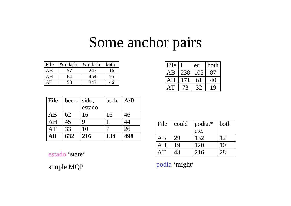### Some anchor pairs

| File | —  | —   | both |
|------|----|-----|------|
| AΒ   | 57 | 747 | 6    |
|      |    |     |      |
|      | 53 |     |      |

| File |     | eu      | both |
|------|-----|---------|------|
| AВ   | 238 | $($ .)5 |      |
|      | 171 | 61      |      |
|      |     |         |      |

| File | been | sido,  | both | $A\$ B |  |
|------|------|--------|------|--------|--|
|      |      | estado |      |        |  |
| AB   | 62   | 16     | 16   | 46     |  |
| AH   | 45   | Q      |      | 44     |  |
| AT   | 33   | 10     |      | 26     |  |
| A 11 | 632  | 216    | 134  | 498    |  |

| ΑH       |               |     |     |     | File |     | $\vert$ could $\vert$ podia.* | both |
|----------|---------------|-----|-----|-----|------|-----|-------------------------------|------|
| $\rm AT$ | $\mathcal{Z}$ |     |     |     |      |     | etc.                          |      |
| All      | 632           | 216 | 134 | 498 | AB   | 20  | 132                           |      |
|          |               |     |     |     | AH   | 1 Q | 120                           |      |
| estado   | 'state'       |     |     |     | AT   |     | 216                           | 28   |

simple MQP podia 'might'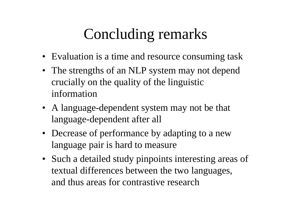# Concluding remarks

- Evaluation is a time and resource consuming task
- The strengths of an NLP system may not depend crucially on the quality of the linguistic information
- A language-dependent system may not be that language-dependent after all
- Decrease of performance by adapting to a new language pair is hard to measure
- Such a detailed study pinpoints interesting areas of textual differences between the two languages, and thus areas for contrastive research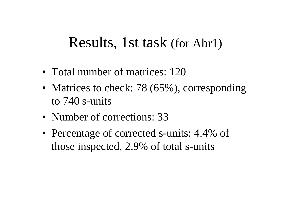#### Results, 1st task (for Abr1)

- Total number of matrices: 120
- Matrices to check: 78 (65%), corresponding to 740 s-units
- Number of corrections: 33
- Percentage of corrected s-units: 4.4% of those inspected, 2.9% of total s-units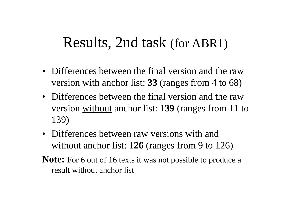#### Results, 2nd task (for ABR1)

- Differences between the final version and the raw version with anchor list: **33** (ranges from 4 to 68)
- Differences between the final version and the raw version without anchor list: **139** (ranges from 11 to 139)
- Differences between raw versions with and without anchor list: **126** (ranges from 9 to 126)
- **Note:** For 6 out of 16 texts it was not possible to produce a result without anchor list